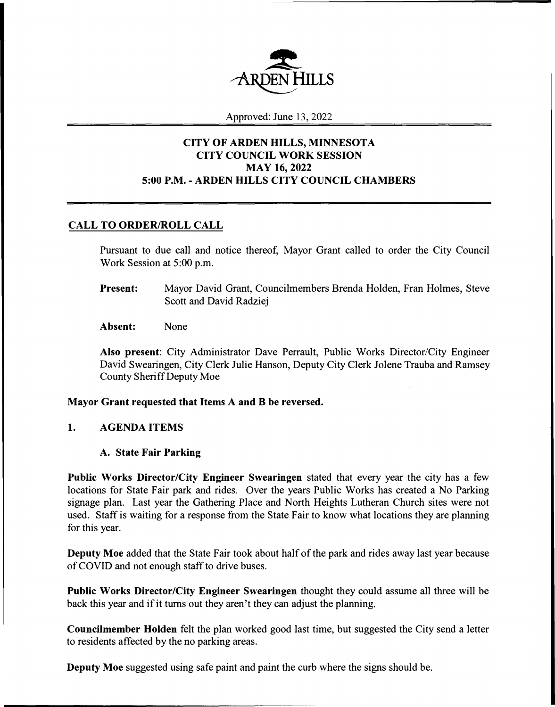

Approved: June 13, 2022

# **CITY OF ARDEN HILLS, MINNESOTA CITY COUNCIL WORK SESSION MAY 16, 2022 5:00 P.M. - ARDEN HILLS CITY COUNCIL CHAMBERS**

# **CALL TO ORDER/ROLL CALL**

Pursuant to due call and notice thereof, Mayor Grant called to order the City Council Work Session at 5:00 p.m.

- **Present:**  Mayor David Grant, Councilmembers Brenda Holden, Fran Holmes, Steve Scott and David Radziej
- **Absent:**  None

**Also present:** City Administrator Dave Perrault, Public Works Director/City Engineer David Swearingen, City Clerk Julie Hanson, Deputy City Clerk Jolene Trauba and Ramsey County Sheriff Deputy Moe

## **Mayor Grant requested that Items A and B be reversed.**

## **1. AGENDA ITEMS**

### **A. State Fair Parking**

**Public Works Director/City Engineer Swearingen** stated that every year the city has a few locations for State Fair park and rides. Over the years Public Works has created a No Parking signage plan. Last year the Gathering Place and North Heights Lutheran Church sites were not used. Staff is waiting for a response from the State Fair to know what locations they are planning for this year.

**Deputy Moe** added that the State Fair took about half of the park and rides away last year because of COVID and not enough staff to drive buses.

**Public Works Director/City Engineer Swearingen** thought they could assume all three will be back this year and if it turns out they aren't they can adjust the planning.

**Councilmember Holden** felt the plan worked good last time, but suggested the City send a letter to residents affected by the no parking areas.

**Deputy Moe** suggested using safe paint and paint the curb where the signs should be.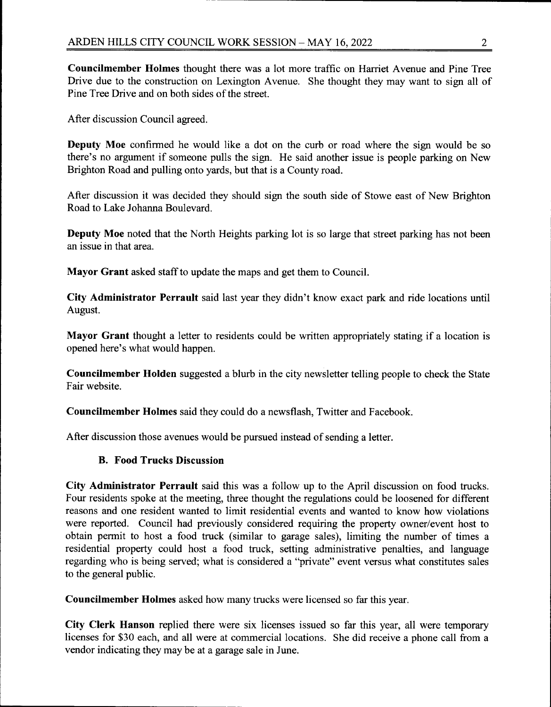Councilmember Holmes thought there was a lot more traffic on Harriet Avenue and Pine Tree Drive due to the construction on Lexington Avenue. She thought they may want to sign all of Pine Tree Drive and on both sides of the street.

After discussion Council agreed.

**Deputy Moe** confirmed he would like a dot on the curb or road where the sign would be so there's no argument if someone pulls the sign. He said another issue is people parking on New Brighton Road and pulling onto yards, but that is a County road.

After discussion it was decided they should sign the south side of Stowe east of New Brighton Road to Lake Johanna Boulevard

**Deputy Moe** noted that the North Heights parking lot is so large that street parking has not been an issue in that area.

Mayor Grant asked staff to update the maps and get them to Council.

City Administrator Perrault said last year they didn't know exact park and ride locations until August.

Mayor Grant thought a letter to residents could be written appropriately stating if a location is opened here's what would happen.

Councilmember Holden suggested a blurb in the city newsletter telling people to check the State Fair website.

**Councilmember Holmes** said they could do a newsflash, Twitter and Facebook.

After discussion those avenues would be pursued instead of sending a letter.

### **B. Food Trucks Discussion**

City Administrator Perrault said this was a follow up to the April discussion on food trucks. Four residents spoke at the meeting, three thought the regulations could be loosened for different reasons and one resident wanted to limit residential events and wanted to know how violations were reported. Council had previously considered requiring the property owner/event host to obtain permit to host a food truck (similar to garage sales), limiting the number of times a residential property could host a food truck, setting administrative penalties, and language regarding who is being served; what is considered a "private" event versus what constitutes sales to the general public.

Councilmember Holmes asked how many trucks were licensed so far this year.

City Clerk Hanson replied there were six licenses issued so far this year, all were temporary licenses for \$30 each, and all were at commercial locations. She did receive a phone call from a vendor indicating they may be at a garage sale in June.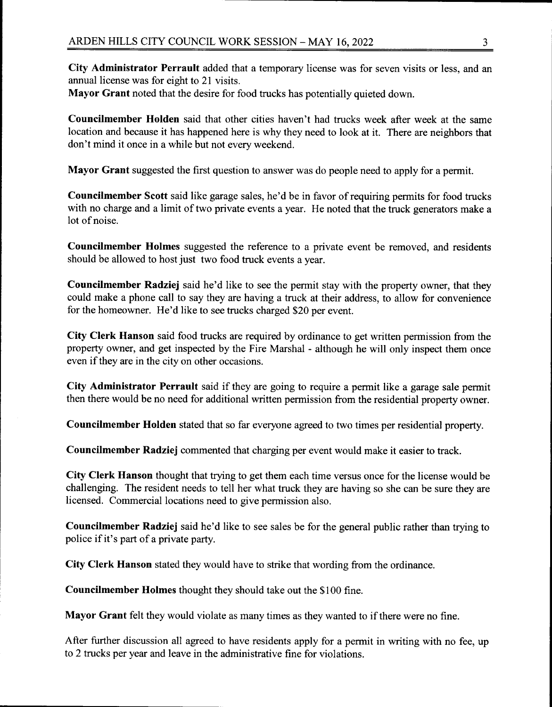City Administrator Perrault added that a temporary license was for seven visits or less, and an annual license was for eight to 21 visits.

Mayor Grant noted that the desire for food trucks has potentially quieted down.

**Councilmember Holden** said that other cities haven't had trucks week after week at the same location and because it has happened here is why they need to look at it. There are neighbors that don't mind it once in a while but not every weekend.

Mayor Grant suggested the first question to answer was do people need to apply for a permit.

**Councilmember Scott** said like garage sales, he'd be in favor of requiring permits for food trucks with no charge and a limit of two private events a year. He noted that the truck generators make a lot of noise.

Councilmember Holmes suggested the reference to a private event be removed, and residents should be allowed to host just two food truck events a vear.

Councilmember Radziej said he'd like to see the permit stay with the property owner, that they could make a phone call to say they are having a truck at their address, to allow for convenience for the homeowner. He'd like to see trucks charged \$20 per event.

City Clerk Hanson said food trucks are required by ordinance to get written permission from the property owner, and get inspected by the Fire Marshal - although he will only inspect them once even if they are in the city on other occasions.

City Administrator Perrault said if they are going to require a permit like a garage sale permit then there would be no need for additional written permission from the residential property owner.

**Councilmember Holden** stated that so far everyone agreed to two times per residential property.

Councilmember Radziej commented that charging per event would make it easier to track.

City Clerk Hanson thought that trying to get them each time versus once for the license would be challenging. The resident needs to tell her what truck they are having so she can be sure they are licensed. Commercial locations need to give permission also.

Councilmember Radziej said he'd like to see sales be for the general public rather than trying to police if it's part of a private party.

City Clerk Hanson stated they would have to strike that wording from the ordinance.

Councilmember Holmes thought they should take out the \$100 fine.

Mayor Grant felt they would violate as many times as they wanted to if there were no fine.

After further discussion all agreed to have residents apply for a permit in writing with no fee, up to 2 trucks per year and leave in the administrative fine for violations.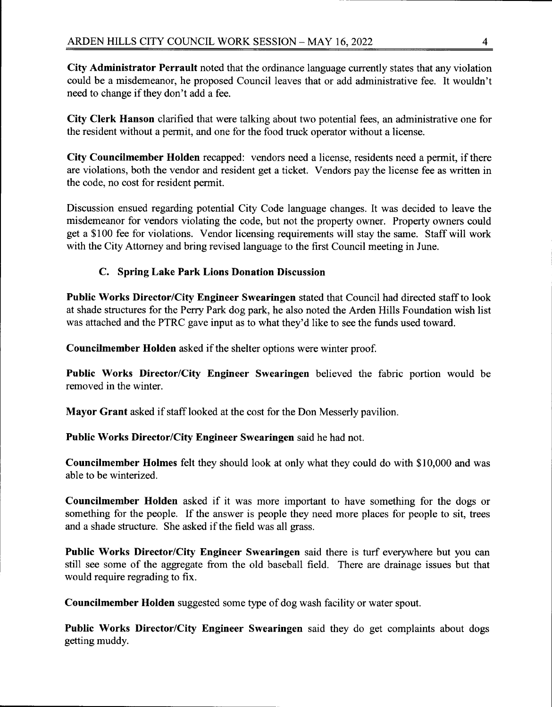City Administrator Perrault noted that the ordinance language currently states that any violation could be a misdemeanor, he proposed Council leaves that or add administrative fee. It wouldn't need to change if they don't add a fee.

City Clerk Hanson clarified that were talking about two potential fees, an administrative one for the resident without a permit, and one for the food truck operator without a license.

City Councilmember Holden recapped: vendors need a license, residents need a permit, if there are violations, both the vendor and resident get a ticket. Vendors pay the license fee as written in the code, no cost for resident permit.

Discussion ensued regarding potential City Code language changes. It was decided to leave the misdemeanor for vendors violating the code, but not the property owner. Property owners could get a \$100 fee for violations. Vendor licensing requirements will stay the same. Staff will work with the City Attorney and bring revised language to the first Council meeting in June.

# C. Spring Lake Park Lions Donation Discussion

Public Works Director/City Engineer Swearingen stated that Council had directed staff to look at shade structures for the Perry Park dog park, he also noted the Arden Hills Foundation wish list was attached and the PTRC gave input as to what they'd like to see the funds used toward.

Councilmember Holden asked if the shelter options were winter proof.

Public Works Director/City Engineer Swearingen believed the fabric portion would be removed in the winter.

Mayor Grant asked if staff looked at the cost for the Don Messerly pavilion.

Public Works Director/City Engineer Swearingen said he had not.

**Councilmember Holmes** felt they should look at only what they could do with \$10,000 and was able to be winterized.

**Councilmember Holden** asked if it was more important to have something for the dogs or something for the people. If the answer is people they need more places for people to sit, trees and a shade structure. She asked if the field was all grass.

Public Works Director/City Engineer Swearingen said there is turf everywhere but you can still see some of the aggregate from the old baseball field. There are drainage issues but that would require regrading to fix.

Councilmember Holden suggested some type of dog wash facility or water spout.

Public Works Director/City Engineer Swearingen said they do get complaints about dogs getting muddy.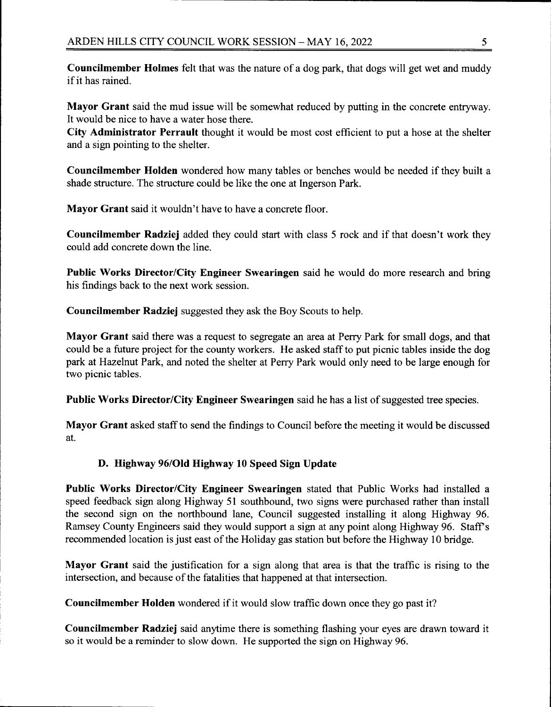**Councilmember Holmes** felt that was the nature of a dog park, that dogs will get wet and muddy if it has rained.

Mayor Grant said the mud issue will be somewhat reduced by putting in the concrete entryway. It would be nice to have a water hose there.

City Administrator Perrault thought it would be most cost efficient to put a hose at the shelter and a sign pointing to the shelter.

Councilmember Holden wondered how many tables or benches would be needed if they built a shade structure. The structure could be like the one at Ingerson Park.

Mayor Grant said it wouldn't have to have a concrete floor.

Councilmember Radziej added they could start with class 5 rock and if that doesn't work they could add concrete down the line.

Public Works Director/City Engineer Swearingen said he would do more research and bring his findings back to the next work session.

**Councilmember Radziej** suggested they ask the Boy Scouts to help.

Mayor Grant said there was a request to segregate an area at Perry Park for small dogs, and that could be a future project for the county workers. He asked staff to put picnic tables inside the dog park at Hazelnut Park, and noted the shelter at Perry Park would only need to be large enough for two picnic tables.

Public Works Director/City Engineer Swearingen said he has a list of suggested tree species.

Mayor Grant asked staff to send the findings to Council before the meeting it would be discussed at.

# D. Highway 96/Old Highway 10 Speed Sign Update

**Public Works Director/City Engineer Swearingen** stated that Public Works had installed a speed feedback sign along Highway 51 southbound, two signs were purchased rather than install the second sign on the northbound lane, Council suggested installing it along Highway 96. Ramsey County Engineers said they would support a sign at any point along Highway 96. Staff's recommended location is just east of the Holiday gas station but before the Highway 10 bridge.

**Mayor Grant** said the justification for a sign along that area is that the traffic is rising to the intersection, and because of the fatalities that happened at that intersection.

**Councilmember Holden** wondered if it would slow traffic down once they go past it?

Councilmember Radziej said anytime there is something flashing your eyes are drawn toward it so it would be a reminder to slow down. He supported the sign on Highway 96.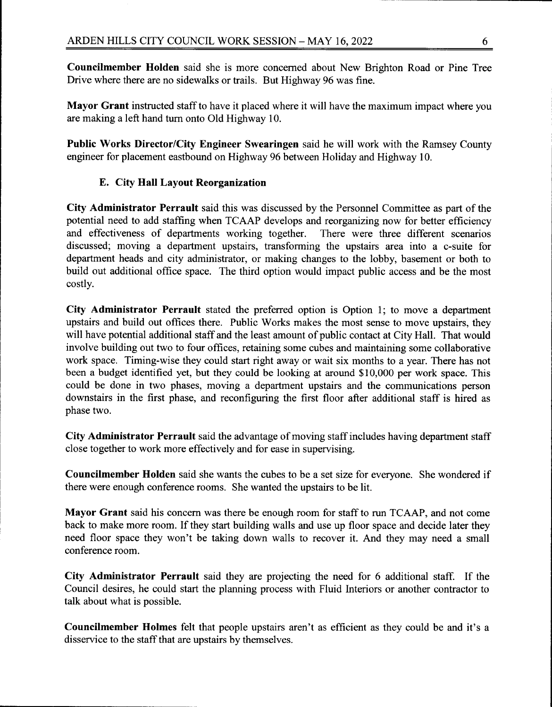**Councilmember Holden** said she is more concerned about New Brighton Road or Pine Tree Drive where there are no sidewalks or trails. But Highway 96 was fine.

Mayor Grant instructed staff to have it placed where it will have the maximum impact where you are making a left hand turn onto Old Highway 10.

Public Works Director/City Engineer Swearingen said he will work with the Ramsey County engineer for placement eastbound on Highway 96 between Holiday and Highway 10.

# E. City Hall Lavout Reorganization

City Administrator Perrault said this was discussed by the Personnel Committee as part of the potential need to add staffing when TCAAP develops and reorganizing now for better efficiency and effectiveness of departments working together. There were three different scenarios discussed; moving a department upstairs, transforming the upstairs area into a c-suite for department heads and city administrator, or making changes to the lobby, basement or both to build out additional office space. The third option would impact public access and be the most costly.

City Administrator Perrault stated the preferred option is Option 1; to move a department upstairs and build out offices there. Public Works makes the most sense to move upstairs, they will have potential additional staff and the least amount of public contact at City Hall. That would involve building out two to four offices, retaining some cubes and maintaining some collaborative work space. Timing-wise they could start right away or wait six months to a year. There has not been a budget identified yet, but they could be looking at around \$10,000 per work space. This could be done in two phases, moving a department upstairs and the communications person downstairs in the first phase, and reconfiguring the first floor after additional staff is hired as phase two.

City Administrator Perrault said the advantage of moving staff includes having department staff close together to work more effectively and for ease in supervising.

Councilmember Holden said she wants the cubes to be a set size for everyone. She wondered if there were enough conference rooms. She wanted the upstairs to be lit.

Mayor Grant said his concern was there be enough room for staff to run TCAAP, and not come back to make more room. If they start building walls and use up floor space and decide later they need floor space they won't be taking down walls to recover it. And they may need a small conference room.

City Administrator Perrault said they are projecting the need for 6 additional staff. If the Council desires, he could start the planning process with Fluid Interiors or another contractor to talk about what is possible.

Councilmember Holmes felt that people upstairs aren't as efficient as they could be and it's a disservice to the staff that are upstairs by themselves.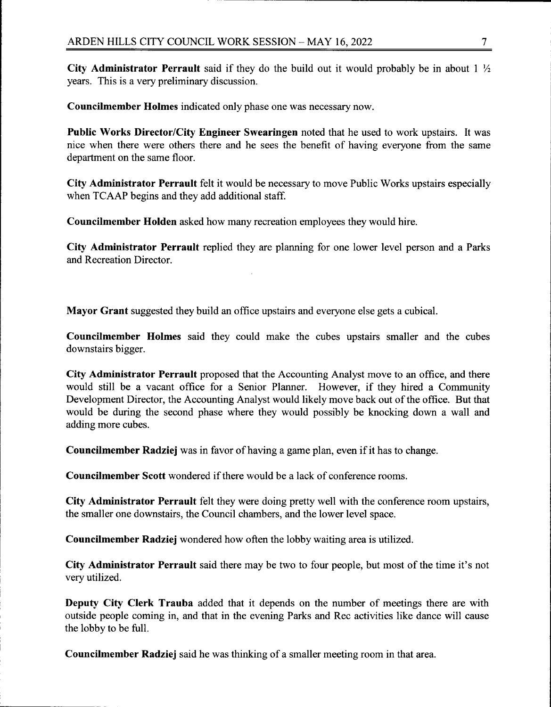City Administrator Perrault said if they do the build out it would probably be in about  $1\frac{1}{2}$ years. This is a very preliminary discussion.

Councilmember Holmes indicated only phase one was necessary now.

**Public Works Director/City Engineer Swearingen noted that he used to work upstairs. It was** nice when there were others there and he sees the benefit of having everyone from the same department on the same floor.

City Administrator Perrault felt it would be necessary to move Public Works upstairs especially when TCAAP begins and they add additional staff.

Councilmember Holden asked how many recreation employees they would hire.

City Administrator Perrault replied they are planning for one lower level person and a Parks and Recreation Director.

Mayor Grant suggested they build an office upstairs and everyone else gets a cubical.

Councilmember Holmes said they could make the cubes upstairs smaller and the cubes downstairs bigger.

City Administrator Perrault proposed that the Accounting Analyst move to an office, and there would still be a vacant office for a Senior Planner. However, if they hired a Community Development Director, the Accounting Analyst would likely move back out of the office. But that would be during the second phase where they would possibly be knocking down a wall and adding more cubes.

**Councilmember Radziej** was in favor of having a game plan, even if it has to change.

**Councilmember Scott** wondered if there would be a lack of conference rooms.

City Administrator Perrault felt they were doing pretty well with the conference room upstairs, the smaller one downstairs, the Council chambers, and the lower level space.

Councilmember Radziej wondered how often the lobby waiting area is utilized.

City Administrator Perrault said there may be two to four people, but most of the time it's not very utilized.

Deputy City Clerk Trauba added that it depends on the number of meetings there are with outside people coming in, and that in the evening Parks and Rec activities like dance will cause the lobby to be full.

**Councilmember Radziej** said he was thinking of a smaller meeting room in that area.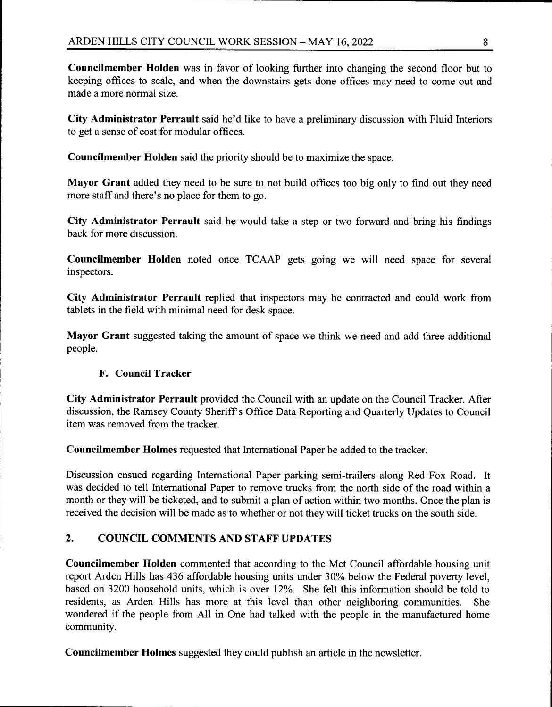**Councilmember Holden** was in favor of looking further into changing the second floor but to keeping offices to scale, and when the downstairs gets done offices may need to come out and made a more normal size.

City Administrator Perrault said he'd like to have a preliminary discussion with Fluid Interiors to get a sense of cost for modular offices.

Councilmember Holden said the priority should be to maximize the space.

Mayor Grant added they need to be sure to not build offices too big only to find out they need more staff and there's no place for them to go.

City Administrator Perrault said he would take a step or two forward and bring his findings back for more discussion.

Councilmember Holden noted once TCAAP gets going we will need space for several inspectors.

City Administrator Perrault replied that inspectors may be contracted and could work from tablets in the field with minimal need for desk space.

Mayor Grant suggested taking the amount of space we think we need and add three additional people.

## **F. Council Tracker**

City Administrator Perrault provided the Council with an update on the Council Tracker. After discussion, the Ramsey County Sheriff's Office Data Reporting and Quarterly Updates to Council item was removed from the tracker.

Councilmember Holmes requested that International Paper be added to the tracker.

Discussion ensued regarding International Paper parking semi-trailers along Red Fox Road. It was decided to tell International Paper to remove trucks from the north side of the road within a month or they will be ticketed, and to submit a plan of action within two months. Once the plan is received the decision will be made as to whether or not they will ticket trucks on the south side.

#### $2.$ **COUNCIL COMMENTS AND STAFF UPDATES**

Councilmember Holden commented that according to the Met Council affordable housing unit report Arden Hills has 436 affordable housing units under 30% below the Federal poverty level, based on 3200 household units, which is over 12%. She felt this information should be told to residents, as Arden Hills has more at this level than other neighboring communities. She wondered if the people from All in One had talked with the people in the manufactured home community.

**Councilmember Holmes** suggested they could publish an article in the newsletter.